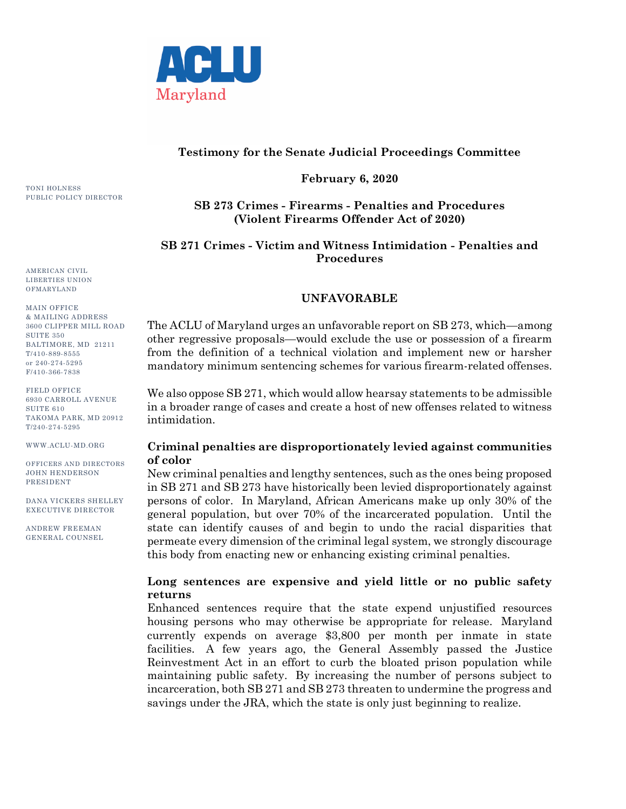

### **Testimony for the Senate Judicial Proceedings Committee**

**February 6, 2020**

# **SB 273 Crimes - Firearms - Penalties and Procedures (Violent Firearms Offender Act of 2020)**

# **SB 271 Crimes - Victim and Witness Intimidation - Penalties and Procedures**

## **UNFAVORABLE**

The ACLU of Maryland urges an unfavorable report on SB 273, which—among other regressive proposals—would exclude the use or possession of a firearm from the definition of a technical violation and implement new or harsher mandatory minimum sentencing schemes for various firearm-related offenses.

We also oppose SB 271, which would allow hearsay statements to be admissible in a broader range of cases and create a host of new offenses related to witness intimidation.

### **Criminal penalties are disproportionately levied against communities of color**

New criminal penalties and lengthy sentences, such as the ones being proposed in SB 271 and SB 273 have historically been levied disproportionately against persons of color. In Maryland, African Americans make up only 30% of the general population, but over 70% of the incarcerated population. Until the state can identify causes of and begin to undo the racial disparities that permeate every dimension of the criminal legal system, we strongly discourage this body from enacting new or enhancing existing criminal penalties.

### **Long sentences are expensive and yield little or no public safety returns**

Enhanced sentences require that the state expend unjustified resources housing persons who may otherwise be appropriate for release. Maryland currently expends on average \$3,800 per month per inmate in state facilities. A few years ago, the General Assembly passed the Justice Reinvestment Act in an effort to curb the bloated prison population while maintaining public safety. By increasing the number of persons subject to incarceration, both SB 271 and SB 273 threaten to undermine the progress and savings under the JRA, which the state is only just beginning to realize.

TONI HOLNESS PUBLIC POLICY DIRECTOR

AMERICAN CIVIL LIBERTIES UNION OFMARYLAND

MAIN OFFICE & MAILING ADDRESS 3600 CLIPPER MILL ROAD **SUITE 350** BALTIMORE, MD 21211 T/410-889-8555 or 240-274-5295 F/410-366-7838

FIELD OFFICE 6930 CARROLL AVENUE SUITE 610 TAKOMA PARK, MD 20912 T/240-274-5295

WWW.ACLU-MD.ORG

OFFICERS AND DIRECTORS JOHN HENDERSON PRESIDENT

DANA VICKERS SHELLEY EXECUTIVE DIRECTOR

ANDREW FREEMAN GENERAL COUNSEL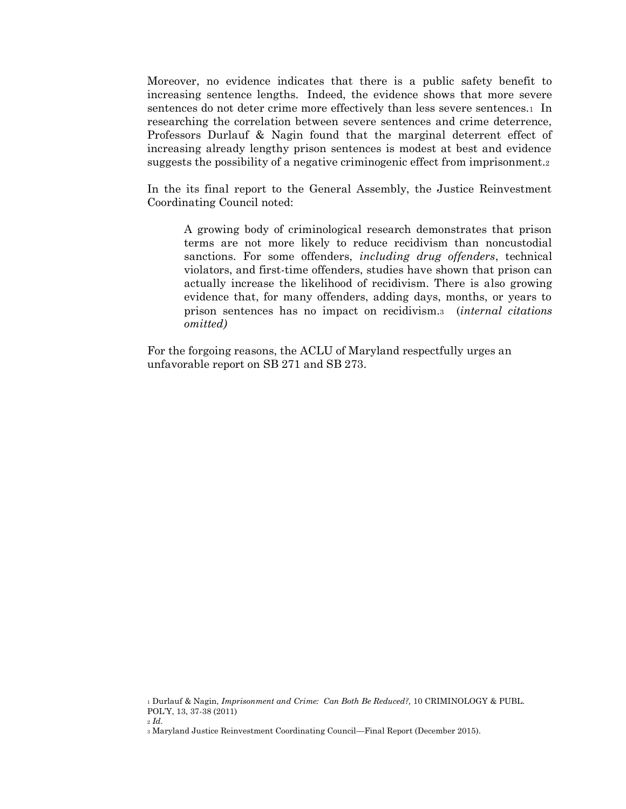Moreover, no evidence indicates that there is a public safety benefit to increasing sentence lengths. Indeed, the evidence shows that more severe sentences do not deter crime more effectively than less severe sentences.1 In researching the correlation between severe sentences and crime deterrence, Professors Durlauf & Nagin found that the marginal deterrent effect of increasing already lengthy prison sentences is modest at best and evidence suggests the possibility of a negative criminogenic effect from imprisonment.<sup>2</sup>

In the its final report to the General Assembly, the Justice Reinvestment Coordinating Council noted:

A growing body of criminological research demonstrates that prison terms are not more likely to reduce recidivism than noncustodial sanctions. For some offenders, *including drug offenders*, technical violators, and first-time offenders, studies have shown that prison can actually increase the likelihood of recidivism. There is also growing evidence that, for many offenders, adding days, months, or years to prison sentences has no impact on recidivism.3 (*internal citations omitted)*

For the forgoing reasons, the ACLU of Maryland respectfully urges an unfavorable report on SB 271 and SB 273.

<sup>1</sup> Durlauf & Nagin, *Imprisonment and Crime: Can Both Be Reduced?,* 10 CRIMINOLOGY & PUBL. POL'Y, 13, 37-38 (2011)

<sup>2</sup> *Id.*

<sup>3</sup> Maryland Justice Reinvestment Coordinating Council—Final Report (December 2015).